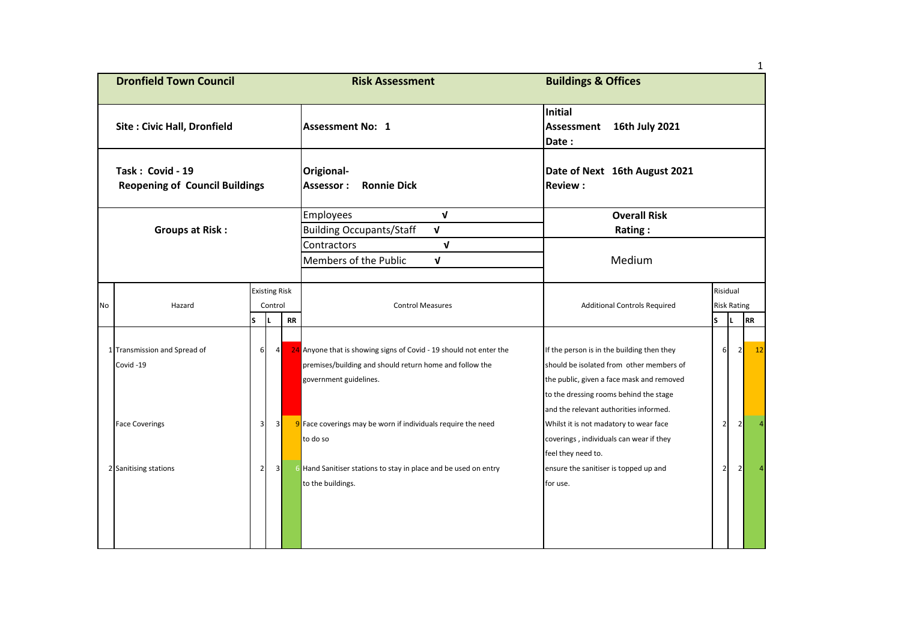|                                                           |                                          |                         |                         |           |                                                                                                                                                         |                                                                                                                                                                               |                |                    | 1              |  |  |  |
|-----------------------------------------------------------|------------------------------------------|-------------------------|-------------------------|-----------|---------------------------------------------------------------------------------------------------------------------------------------------------------|-------------------------------------------------------------------------------------------------------------------------------------------------------------------------------|----------------|--------------------|----------------|--|--|--|
| <b>Dronfield Town Council</b>                             |                                          |                         |                         |           | <b>Risk Assessment</b>                                                                                                                                  | <b>Buildings &amp; Offices</b>                                                                                                                                                |                |                    |                |  |  |  |
| <b>Site: Civic Hall, Dronfield</b>                        |                                          |                         |                         |           | <b>Assessment No: 1</b>                                                                                                                                 | Initial<br>16th July 2021<br>Assessment<br>Date:                                                                                                                              |                |                    |                |  |  |  |
| Task: Covid - 19<br><b>Reopening of Council Buildings</b> |                                          |                         |                         |           | Origional-<br><b>Assessor:</b><br><b>Ronnie Dick</b>                                                                                                    | Date of Next 16th August 2021<br><b>Review:</b>                                                                                                                               |                |                    |                |  |  |  |
| <b>Groups at Risk:</b>                                    |                                          |                         |                         |           | $\mathbf{v}$<br><b>Employees</b><br>$\mathbf{v}$<br><b>Building Occupants/Staff</b>                                                                     | <b>Overall Risk</b><br>Rating:                                                                                                                                                |                |                    |                |  |  |  |
|                                                           |                                          |                         |                         |           | Contractors<br>V<br>Members of the Public<br>$\mathbf v$                                                                                                | Medium                                                                                                                                                                        |                |                    |                |  |  |  |
|                                                           |                                          |                         | <b>Existing Risk</b>    |           |                                                                                                                                                         |                                                                                                                                                                               | Risidual       |                    |                |  |  |  |
| No                                                        | Hazard                                   | Control                 |                         |           | <b>Control Measures</b>                                                                                                                                 | <b>Additional Controls Required</b>                                                                                                                                           |                | <b>Risk Rating</b> |                |  |  |  |
|                                                           |                                          | S                       | IL                      | <b>RR</b> |                                                                                                                                                         |                                                                                                                                                                               | S              |                    | <b>RR</b>      |  |  |  |
|                                                           | 1 Transmission and Spread of<br>Covid-19 | 6                       | 4                       |           | 24 Anyone that is showing signs of Covid - 19 should not enter the<br>premises/building and should return home and follow the<br>government guidelines. | If the person is in the building then they<br>should be isolated from other members of<br>the public, given a face mask and removed<br>to the dressing rooms behind the stage | 6              | $\overline{2}$     | 12             |  |  |  |
|                                                           | <b>Face Coverings</b>                    | $\overline{\mathbf{3}}$ | $\overline{\mathbf{3}}$ |           | 9 Face coverings may be worn if individuals require the need<br>to do so                                                                                | and the relevant authorities informed.<br>Whilst it is not madatory to wear face<br>coverings, individuals can wear if they<br>feel they need to.                             | 2 <sub>1</sub> | $\overline{2}$     | $\overline{a}$ |  |  |  |
|                                                           | 2 Sanitising stations                    | $\overline{2}$          | $\overline{3}$          |           | <b>6</b> Hand Sanitiser stations to stay in place and be used on entry<br>to the buildings.                                                             | ensure the sanitiser is topped up and<br>for use.                                                                                                                             | 2              | $\overline{2}$     |                |  |  |  |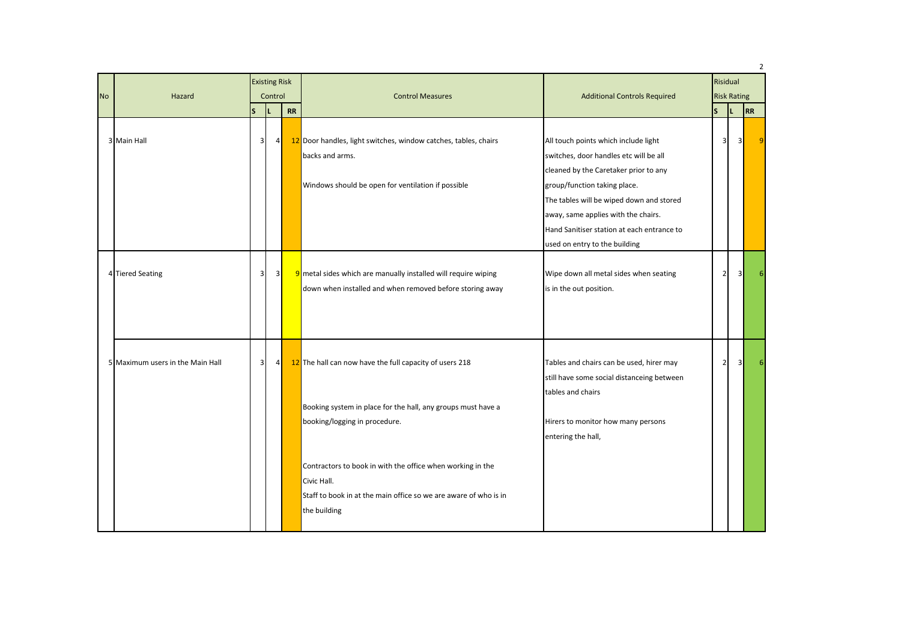| <b>No</b> | Hazard                           | <b>Existing Risk</b><br>Control |                |    |                                                                                                                                                               |                                                                                                                                                                                                                                                                                                                           |                |  |                         | <b>Control Measures</b> | <b>Additional Controls Required</b><br>ls.<br>ТL. | Risidual<br><b>Risk Rating</b> |  |  | $\overline{2}$ |
|-----------|----------------------------------|---------------------------------|----------------|----|---------------------------------------------------------------------------------------------------------------------------------------------------------------|---------------------------------------------------------------------------------------------------------------------------------------------------------------------------------------------------------------------------------------------------------------------------------------------------------------------------|----------------|--|-------------------------|-------------------------|---------------------------------------------------|--------------------------------|--|--|----------------|
|           | 3 Main Hall                      | S.<br>$\overline{3}$            | 4 <sup>1</sup> | RR | 12 Door handles, light switches, window catches, tables, chairs<br>backs and arms.<br>Windows should be open for ventilation if possible                      | All touch points which include light<br>switches, door handles etc will be all<br>cleaned by the Caretaker prior to any<br>group/function taking place.<br>The tables will be wiped down and stored<br>away, same applies with the chairs.<br>Hand Sanitiser station at each entrance to<br>used on entry to the building | 3              |  | 31                      | <b>RR</b><br>٠q         |                                                   |                                |  |  |                |
|           | 4 Tiered Seating                 | $\overline{\mathbf{3}}$         | 3              |    | 9 metal sides which are manually installed will require wiping<br>down when installed and when removed before storing away                                    | Wipe down all metal sides when seating<br>is in the out position.                                                                                                                                                                                                                                                         | $\overline{2}$ |  | $\overline{\mathbf{3}}$ |                         |                                                   |                                |  |  |                |
|           | 5 Maximum users in the Main Hall | $\overline{\mathbf{3}}$         | 4              |    | 12 The hall can now have the full capacity of users 218<br>Booking system in place for the hall, any groups must have a<br>booking/logging in procedure.      | Tables and chairs can be used, hirer may<br>still have some social distanceing between<br>tables and chairs<br>Hirers to monitor how many persons<br>entering the hall,                                                                                                                                                   | $\overline{2}$ |  | 3                       |                         |                                                   |                                |  |  |                |
|           |                                  |                                 |                |    | Contractors to book in with the office when working in the<br>Civic Hall.<br>Staff to book in at the main office so we are aware of who is in<br>the building |                                                                                                                                                                                                                                                                                                                           |                |  |                         |                         |                                                   |                                |  |  |                |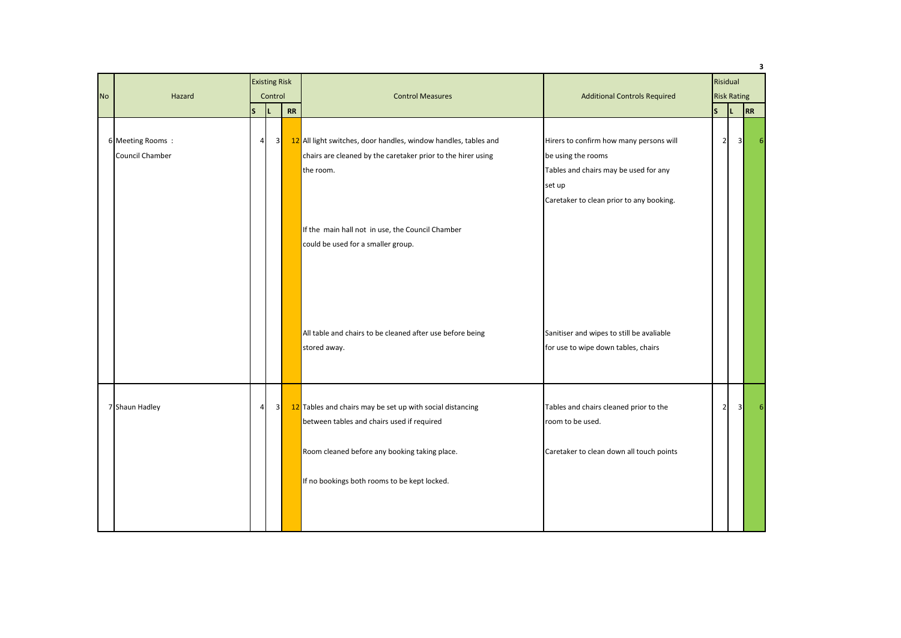|           |                                     |                |                         |    | 3                                                                                                                                                                                                                                      |                                                                                                                                                              |                    |                |    |          |  |  |
|-----------|-------------------------------------|----------------|-------------------------|----|----------------------------------------------------------------------------------------------------------------------------------------------------------------------------------------------------------------------------------------|--------------------------------------------------------------------------------------------------------------------------------------------------------------|--------------------|----------------|----|----------|--|--|
|           |                                     |                | <b>Existing Risk</b>    |    |                                                                                                                                                                                                                                        |                                                                                                                                                              |                    |                |    | Risidual |  |  |
| <b>No</b> | Hazard                              |                | Control                 |    | <b>Control Measures</b>                                                                                                                                                                                                                | <b>Additional Controls Required</b>                                                                                                                          | <b>Risk Rating</b> |                |    |          |  |  |
|           |                                     | ls.            | L                       | RR |                                                                                                                                                                                                                                        |                                                                                                                                                              | ls.                | IL.            | RR |          |  |  |
|           | 6 Meeting Rooms:<br>Council Chamber | $\overline{4}$ |                         | 3  | 12 All light switches, door handles, window handles, tables and<br>chairs are cleaned by the caretaker prior to the hirer using<br>the room.<br>If the main hall not in use, the Council Chamber<br>could be used for a smaller group. | Hirers to confirm how many persons will<br>be using the rooms<br>Tables and chairs may be used for any<br>set up<br>Caretaker to clean prior to any booking. | 2 <sub>1</sub>     | 3 <sup>1</sup> | 6  |          |  |  |
|           |                                     |                |                         |    | All table and chairs to be cleaned after use before being<br>stored away.                                                                                                                                                              | Sanitiser and wipes to still be avaliable<br>for use to wipe down tables, chairs                                                                             |                    |                |    |          |  |  |
|           | 7 Shaun Hadley                      | $\overline{4}$ | $\overline{\mathbf{3}}$ |    | 12 Tables and chairs may be set up with social distancing<br>between tables and chairs used if required                                                                                                                                | Tables and chairs cleaned prior to the<br>room to be used.                                                                                                   | 2 <sub>l</sub>     | 3 <sup>1</sup> | 6  |          |  |  |
|           |                                     |                |                         |    | Room cleaned before any booking taking place.<br>If no bookings both rooms to be kept locked.                                                                                                                                          | Caretaker to clean down all touch points                                                                                                                     |                    |                |    |          |  |  |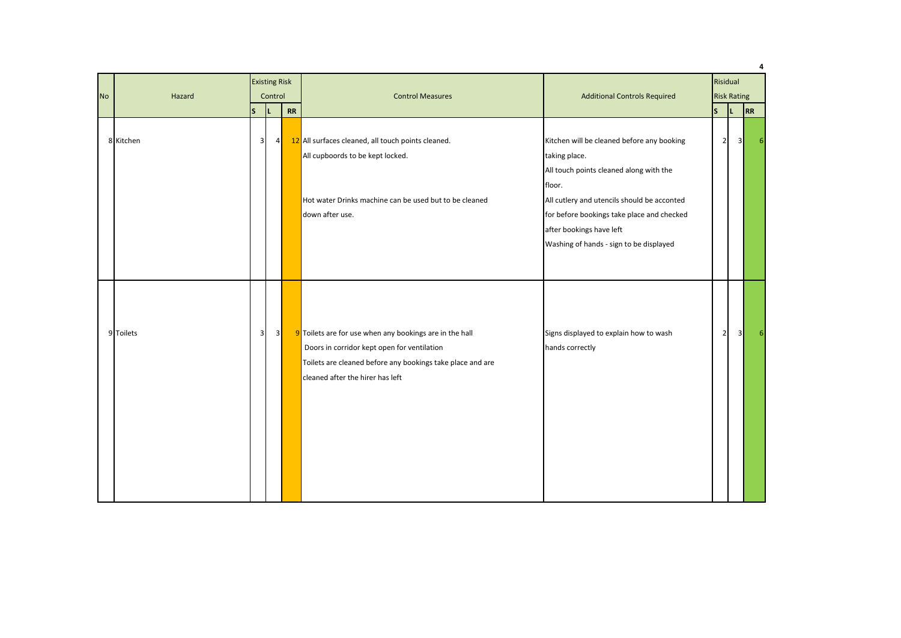|           |                   |                         |                         |                         |                                                                                                                                                                                                          |                                                                                                                                                                                                                                                                                      |                |                         |    | 4  |
|-----------|-------------------|-------------------------|-------------------------|-------------------------|----------------------------------------------------------------------------------------------------------------------------------------------------------------------------------------------------------|--------------------------------------------------------------------------------------------------------------------------------------------------------------------------------------------------------------------------------------------------------------------------------------|----------------|-------------------------|----|----|
|           |                   | <b>Existing Risk</b>    |                         |                         |                                                                                                                                                                                                          | Risidual                                                                                                                                                                                                                                                                             |                |                         |    |    |
| <b>No</b> | Hazard<br>Control |                         |                         | <b>Control Measures</b> | <b>Additional Controls Required</b>                                                                                                                                                                      | <b>Risk Rating</b>                                                                                                                                                                                                                                                                   |                |                         |    |    |
|           |                   | ls.                     |                         | ${\sf RR}$              |                                                                                                                                                                                                          |                                                                                                                                                                                                                                                                                      | ls.            | IL.                     | RR |    |
|           | 8 Kitchen         | 3 <sup>1</sup>          | 4                       |                         | 12 All surfaces cleaned, all touch points cleaned.<br>All cupboords to be kept locked.<br>Hot water Drinks machine can be used but to be cleaned<br>down after use.                                      | Kitchen will be cleaned before any booking<br>taking place.<br>All touch points cleaned along with the<br>floor.<br>All cutlery and utencils should be acconted<br>for before bookings take place and checked<br>after bookings have left<br>Washing of hands - sign to be displayed | 2 <sub>l</sub> | $\overline{\mathbf{3}}$ |    | 6. |
|           | 9 Toilets         | $\overline{\mathbf{3}}$ | $\overline{\mathbf{3}}$ |                         | 9 Toilets are for use when any bookings are in the hall<br>Doors in corridor kept open for ventilation<br>Toilets are cleaned before any bookings take place and are<br>cleaned after the hirer has left | Signs displayed to explain how to wash<br>hands correctly                                                                                                                                                                                                                            | $\overline{2}$ | 3 <sup>l</sup>          |    |    |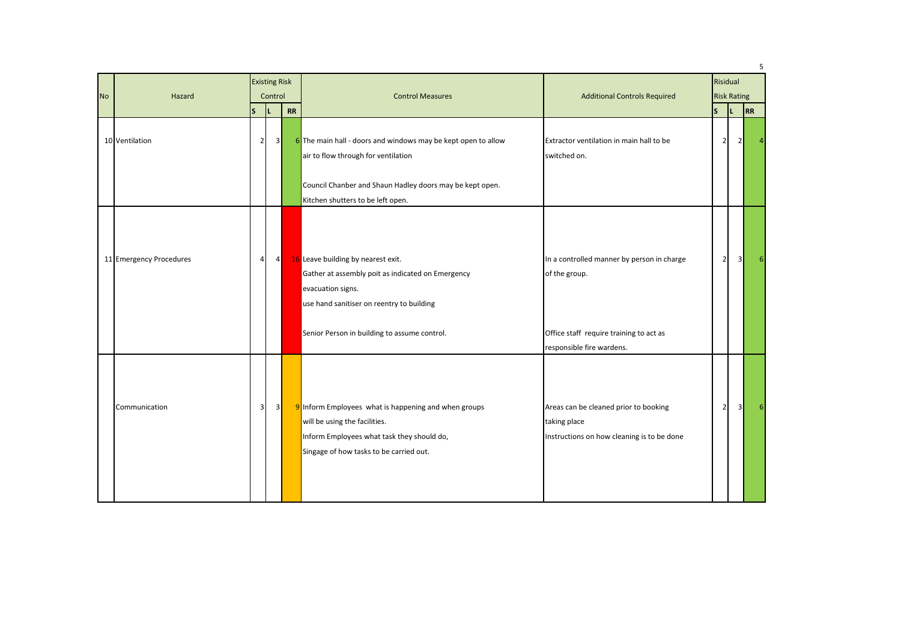| <b>No</b> | Hazard                  |                | <b>Existing Risk</b><br>Control |           | <b>Control Measures</b>                                                                                                                                                                                   |                                                                                                                                  |                | <b>Additional Controls Required</b> |    | Risidual<br><b>Risk Rating</b> |  |  |
|-----------|-------------------------|----------------|---------------------------------|-----------|-----------------------------------------------------------------------------------------------------------------------------------------------------------------------------------------------------------|----------------------------------------------------------------------------------------------------------------------------------|----------------|-------------------------------------|----|--------------------------------|--|--|
|           |                         | ls.            | п.                              | <b>RR</b> |                                                                                                                                                                                                           |                                                                                                                                  | ls             | IL.                                 | RR |                                |  |  |
|           | 10 Ventilation          | $\overline{2}$ | 3                               |           | 6 The main hall - doors and windows may be kept open to allow<br>air to flow through for ventilation<br>Council Chanber and Shaun Hadley doors may be kept open.<br>Kitchen shutters to be left open.     | Extractor ventilation in main hall to be<br>switched on.                                                                         | 2 <sub>l</sub> | 2                                   |    |                                |  |  |
|           | 11 Emergency Procedures | $\overline{a}$ | $\overline{4}$                  |           | 16 Leave building by nearest exit.<br>Gather at assembly poit as indicated on Emergency<br>evacuation signs.<br>use hand sanitiser on reentry to building<br>Senior Person in building to assume control. | In a controlled manner by person in charge<br>of the group.<br>Office staff require training to act as                           | $\overline{2}$ | 3                                   |    |                                |  |  |
|           | Communication           | $\overline{3}$ | $\overline{\mathbf{3}}$         |           | 9 Inform Employees what is happening and when groups<br>will be using the facilities.<br>Inform Employees what task they should do,<br>Singage of how tasks to be carried out.                            | responsible fire wardens.<br>Areas can be cleaned prior to booking<br>taking place<br>Instructions on how cleaning is to be done | $\overline{2}$ | $\overline{\mathbf{3}}$             |    |                                |  |  |